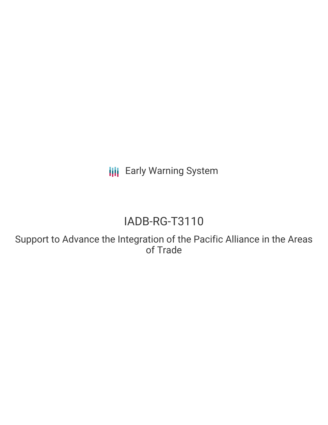**III** Early Warning System

## IADB-RG-T3110

Support to Advance the Integration of the Pacific Alliance in the Areas of Trade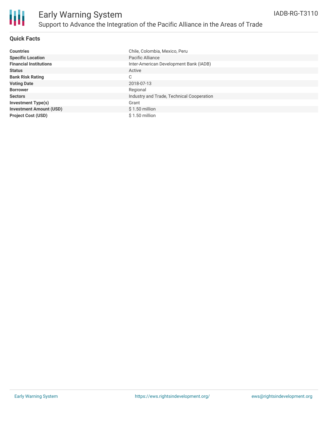

#### **Quick Facts**

| <b>Countries</b>               | Chile, Colombia, Mexico, Peru             |
|--------------------------------|-------------------------------------------|
| <b>Specific Location</b>       | Pacific Alliance                          |
| <b>Financial Institutions</b>  | Inter-American Development Bank (IADB)    |
| <b>Status</b>                  | Active                                    |
| <b>Bank Risk Rating</b>        | C                                         |
| <b>Voting Date</b>             | 2018-07-13                                |
| <b>Borrower</b>                | Regional                                  |
| <b>Sectors</b>                 | Industry and Trade, Technical Cooperation |
| <b>Investment Type(s)</b>      | Grant                                     |
| <b>Investment Amount (USD)</b> | $$1.50$ million                           |
| <b>Project Cost (USD)</b>      | $$1.50$ million                           |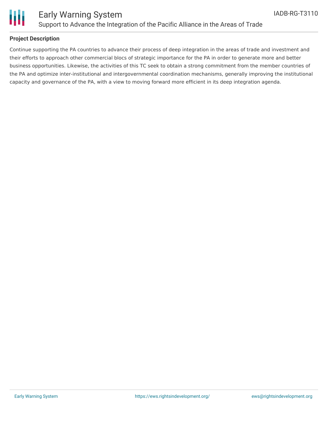

# Ш

### Early Warning System Support to Advance the Integration of the Pacific Alliance in the Areas of Trade

#### **Project Description**

Continue supporting the PA countries to advance their process of deep integration in the areas of trade and investment and their efforts to approach other commercial blocs of strategic importance for the PA in order to generate more and better business opportunities. Likewise, the activities of this TC seek to obtain a strong commitment from the member countries of the PA and optimize inter-institutional and intergovernmental coordination mechanisms, generally improving the institutional capacity and governance of the PA, with a view to moving forward more efficient in its deep integration agenda.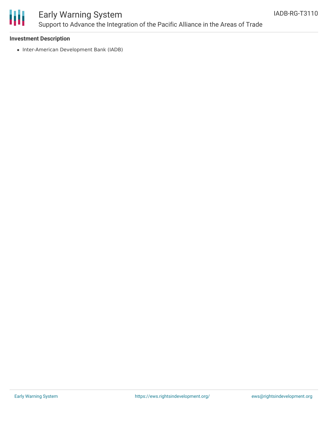

## Early Warning System Support to Advance the Integration of the Pacific Alliance in the Areas of Trade

#### **Investment Description**

• Inter-American Development Bank (IADB)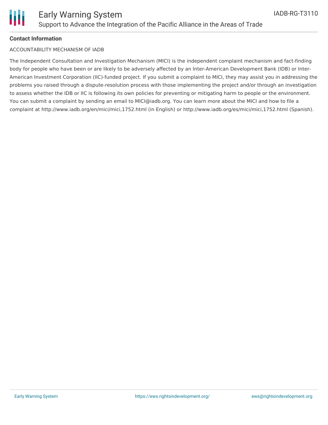

#### **Contact Information**

#### ACCOUNTABILITY MECHANISM OF IADB

The Independent Consultation and Investigation Mechanism (MICI) is the independent complaint mechanism and fact-finding body for people who have been or are likely to be adversely affected by an Inter-American Development Bank (IDB) or Inter-American Investment Corporation (IIC)-funded project. If you submit a complaint to MICI, they may assist you in addressing the problems you raised through a dispute-resolution process with those implementing the project and/or through an investigation to assess whether the IDB or IIC is following its own policies for preventing or mitigating harm to people or the environment. You can submit a complaint by sending an email to MICI@iadb.org. You can learn more about the MICI and how to file a complaint at http://www.iadb.org/en/mici/mici,1752.html (in English) or http://www.iadb.org/es/mici/mici,1752.html (Spanish).